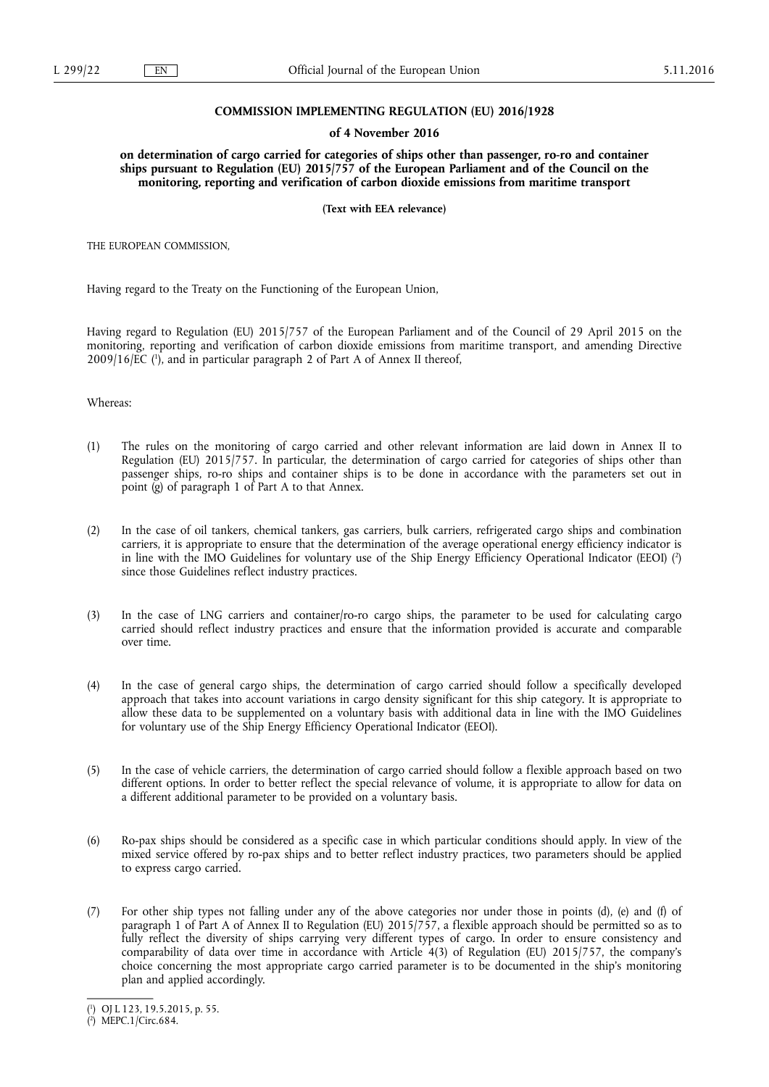# **COMMISSION IMPLEMENTING REGULATION (EU) 2016/1928**

#### **of 4 November 2016**

**on determination of cargo carried for categories of ships other than passenger, ro-ro and container ships pursuant to Regulation (EU) 2015/757 of the European Parliament and of the Council on the monitoring, reporting and verification of carbon dioxide emissions from maritime transport** 

**(Text with EEA relevance)** 

THE EUROPEAN COMMISSION,

Having regard to the Treaty on the Functioning of the European Union,

Having regard to Regulation (EU) 2015/757 of the European Parliament and of the Council of 29 April 2015 on the monitoring, reporting and verification of carbon dioxide emissions from maritime transport, and amending Directive 2009/16/EC ( 1 ), and in particular paragraph 2 of Part A of Annex II thereof,

Whereas:

- (1) The rules on the monitoring of cargo carried and other relevant information are laid down in Annex II to Regulation (EU) 2015/757. In particular, the determination of cargo carried for categories of ships other than passenger ships, ro-ro ships and container ships is to be done in accordance with the parameters set out in point (g) of paragraph 1 of Part A to that Annex.
- (2) In the case of oil tankers, chemical tankers, gas carriers, bulk carriers, refrigerated cargo ships and combination carriers, it is appropriate to ensure that the determination of the average operational energy efficiency indicator is in line with the IMO Guidelines for voluntary use of the Ship Energy Efficiency Operational Indicator (EEOI) ( 2 ) since those Guidelines reflect industry practices.
- (3) In the case of LNG carriers and container/ro-ro cargo ships, the parameter to be used for calculating cargo carried should reflect industry practices and ensure that the information provided is accurate and comparable over time.
- (4) In the case of general cargo ships, the determination of cargo carried should follow a specifically developed approach that takes into account variations in cargo density significant for this ship category. It is appropriate to allow these data to be supplemented on a voluntary basis with additional data in line with the IMO Guidelines for voluntary use of the Ship Energy Efficiency Operational Indicator (EEOI).
- (5) In the case of vehicle carriers, the determination of cargo carried should follow a flexible approach based on two different options. In order to better reflect the special relevance of volume, it is appropriate to allow for data on a different additional parameter to be provided on a voluntary basis.
- (6) Ro-pax ships should be considered as a specific case in which particular conditions should apply. In view of the mixed service offered by ro-pax ships and to better reflect industry practices, two parameters should be applied to express cargo carried.
- (7) For other ship types not falling under any of the above categories nor under those in points (d), (e) and (f) of paragraph 1 of Part A of Annex II to Regulation (EU) 2015/757, a flexible approach should be permitted so as to fully reflect the diversity of ships carrying very different types of cargo. In order to ensure consistency and comparability of data over time in accordance with Article 4(3) of Regulation (EU) 2015/757, the company's choice concerning the most appropriate cargo carried parameter is to be documented in the ship's monitoring plan and applied accordingly.

<sup>(</sup> 1 ) OJ L 123, 19.5.2015, p. 55.

<sup>(</sup> 2 ) MEPC.1/Circ.684.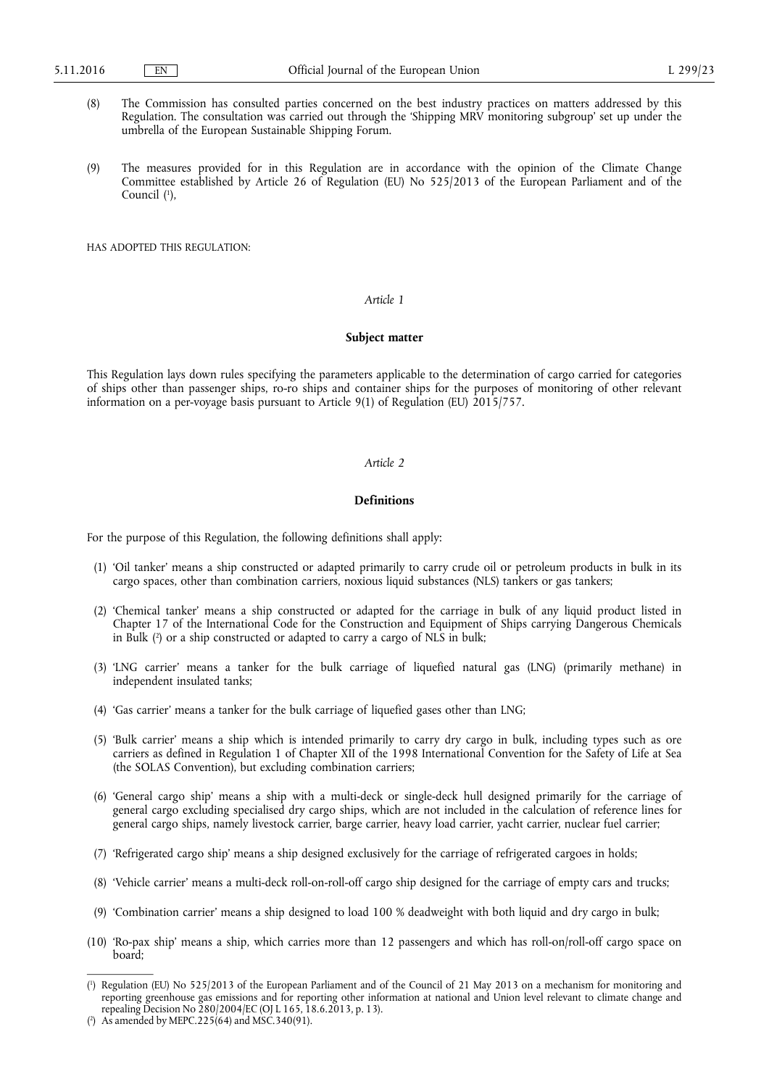- (8) The Commission has consulted parties concerned on the best industry practices on matters addressed by this Regulation. The consultation was carried out through the 'Shipping MRV monitoring subgroup' set up under the umbrella of the European Sustainable Shipping Forum.
- (9) The measures provided for in this Regulation are in accordance with the opinion of the Climate Change Committee established by Article 26 of Regulation (EU) No 525/2013 of the European Parliament and of the Council (<sup>1</sup>),

HAS ADOPTED THIS REGULATION:

#### *Article 1*

### **Subject matter**

This Regulation lays down rules specifying the parameters applicable to the determination of cargo carried for categories of ships other than passenger ships, ro-ro ships and container ships for the purposes of monitoring of other relevant information on a per-voyage basis pursuant to Article 9(1) of Regulation (EU) 2015/757.

### *Article 2*

# **Definitions**

For the purpose of this Regulation, the following definitions shall apply:

- (1) 'Oil tanker' means a ship constructed or adapted primarily to carry crude oil or petroleum products in bulk in its cargo spaces, other than combination carriers, noxious liquid substances (NLS) tankers or gas tankers;
- (2) 'Chemical tanker' means a ship constructed or adapted for the carriage in bulk of any liquid product listed in Chapter 17 of the International Code for the Construction and Equipment of Ships carrying Dangerous Chemicals in Bulk ( 2 ) or a ship constructed or adapted to carry a cargo of NLS in bulk;
- (3) 'LNG carrier' means a tanker for the bulk carriage of liquefied natural gas (LNG) (primarily methane) in independent insulated tanks;
- (4) 'Gas carrier' means a tanker for the bulk carriage of liquefied gases other than LNG;
- (5) 'Bulk carrier' means a ship which is intended primarily to carry dry cargo in bulk, including types such as ore carriers as defined in Regulation 1 of Chapter XII of the 1998 International Convention for the Safety of Life at Sea (the SOLAS Convention), but excluding combination carriers;
- (6) 'General cargo ship' means a ship with a multi-deck or single-deck hull designed primarily for the carriage of general cargo excluding specialised dry cargo ships, which are not included in the calculation of reference lines for general cargo ships, namely livestock carrier, barge carrier, heavy load carrier, yacht carrier, nuclear fuel carrier;
- (7) 'Refrigerated cargo ship' means a ship designed exclusively for the carriage of refrigerated cargoes in holds;
- (8) 'Vehicle carrier' means a multi-deck roll-on-roll-off cargo ship designed for the carriage of empty cars and trucks;
- (9) 'Combination carrier' means a ship designed to load 100 % deadweight with both liquid and dry cargo in bulk;
- (10) 'Ro-pax ship' means a ship, which carries more than 12 passengers and which has roll-on/roll-off cargo space on board;

<sup>(</sup> 1 ) Regulation (EU) No 525/2013 of the European Parliament and of the Council of 21 May 2013 on a mechanism for monitoring and reporting greenhouse gas emissions and for reporting other information at national and Union level relevant to climate change and repealing Decision No  $\frac{280}{2004}$  EC (OJ L 165, 18.6.2013, p. 13).

<sup>(</sup> 2 ) As amended by MEPC.225(64) and MSC.340(91).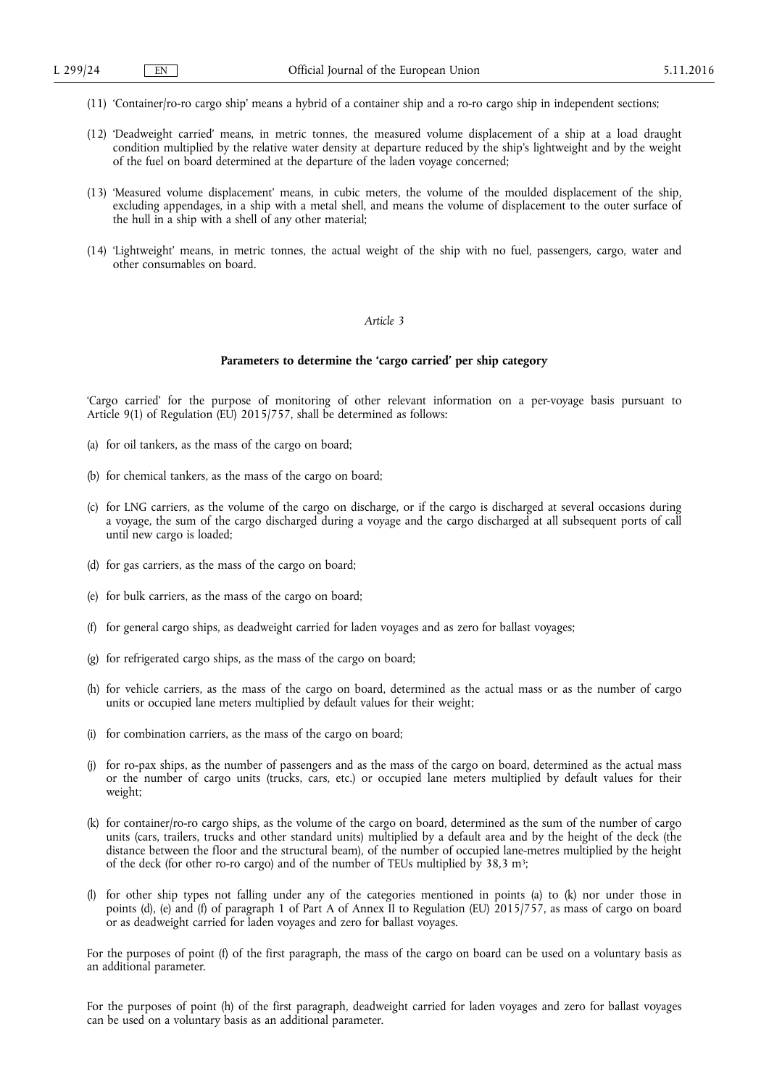- (11) 'Container/ro-ro cargo ship' means a hybrid of a container ship and a ro-ro cargo ship in independent sections;
- (12) 'Deadweight carried' means, in metric tonnes, the measured volume displacement of a ship at a load draught condition multiplied by the relative water density at departure reduced by the ship's lightweight and by the weight of the fuel on board determined at the departure of the laden voyage concerned;
- (13) 'Measured volume displacement' means, in cubic meters, the volume of the moulded displacement of the ship, excluding appendages, in a ship with a metal shell, and means the volume of displacement to the outer surface of the hull in a ship with a shell of any other material;
- (14) 'Lightweight' means, in metric tonnes, the actual weight of the ship with no fuel, passengers, cargo, water and other consumables on board.

### *Article 3*

#### **Parameters to determine the 'cargo carried' per ship category**

'Cargo carried' for the purpose of monitoring of other relevant information on a per-voyage basis pursuant to Article 9(1) of Regulation (EU)  $2015/757$ , shall be determined as follows:

- (a) for oil tankers, as the mass of the cargo on board;
- (b) for chemical tankers, as the mass of the cargo on board;
- (c) for LNG carriers, as the volume of the cargo on discharge, or if the cargo is discharged at several occasions during a voyage, the sum of the cargo discharged during a voyage and the cargo discharged at all subsequent ports of call until new cargo is loaded;
- (d) for gas carriers, as the mass of the cargo on board;
- (e) for bulk carriers, as the mass of the cargo on board;
- (f) for general cargo ships, as deadweight carried for laden voyages and as zero for ballast voyages;
- (g) for refrigerated cargo ships, as the mass of the cargo on board;
- (h) for vehicle carriers, as the mass of the cargo on board, determined as the actual mass or as the number of cargo units or occupied lane meters multiplied by default values for their weight;
- (i) for combination carriers, as the mass of the cargo on board;
- (j) for ro-pax ships, as the number of passengers and as the mass of the cargo on board, determined as the actual mass or the number of cargo units (trucks, cars, etc.) or occupied lane meters multiplied by default values for their weight;
- (k) for container/ro-ro cargo ships, as the volume of the cargo on board, determined as the sum of the number of cargo units (cars, trailers, trucks and other standard units) multiplied by a default area and by the height of the deck (the distance between the floor and the structural beam), of the number of occupied lane-metres multiplied by the height of the deck (for other ro-ro cargo) and of the number of TEUs multiplied by 38,3 m<sup>3</sup>;
- (l) for other ship types not falling under any of the categories mentioned in points (a) to (k) nor under those in points (d), (e) and (f) of paragraph 1 of Part A of Annex II to Regulation (EU) 2015/757, as mass of cargo on board or as deadweight carried for laden voyages and zero for ballast voyages.

For the purposes of point (f) of the first paragraph, the mass of the cargo on board can be used on a voluntary basis as an additional parameter.

For the purposes of point (h) of the first paragraph, deadweight carried for laden voyages and zero for ballast voyages can be used on a voluntary basis as an additional parameter.